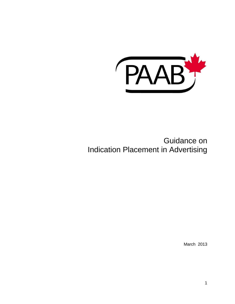

# Guidance on Indication Placement in Advertising

March 2013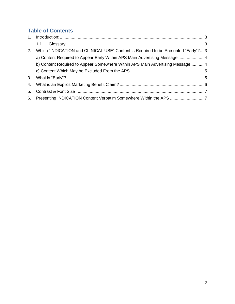# **Table of Contents**

<span id="page-1-0"></span>

|    | 1.1                                                                                |  |
|----|------------------------------------------------------------------------------------|--|
| 2. | Which "INDICATION and CLINICAL USE" Content is Required to be Presented "Early"? 3 |  |
|    | a) Content Required to Appear Early Within APS Main Advertising Message  4         |  |
|    | b) Content Required to Appear Somewhere Within APS Main Advertising Message  4     |  |
|    |                                                                                    |  |
| 3. |                                                                                    |  |
|    |                                                                                    |  |
| 5. |                                                                                    |  |
|    |                                                                                    |  |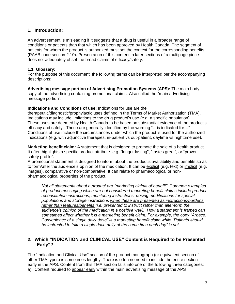#### **1. Introduction:**

An advertisement is misleading if it suggests that a drug is useful in a broader range of conditions or patients than that which has been approved by Health Canada. The segment of patients for whom the product is authorized must set the context for the corresponding benefits (PAAB code section 2.10). Presentation of this content in later sections of a multipage piece does not adequately offset the broad claims of efficacy/safety.

#### <span id="page-2-0"></span>**1.1 Glossary:**

For the purpose of this document, the following terms can be interpreted per the accompanying descriptions:

**Advertising message portion of Advertising Promotion Systems (APS):** The main body copy of the advertising containing promotional claims. Also called the "main advertising message portion".

#### **Indications and Conditions of use:** Indications for use are the

therapeutic/diagnostic/prophylactic uses defined in the Terms of Market Authorization (TMA). Indications may include limitations to the drug product's use (e.g. a specific population). These uses are deemed by Health Canada to be based on substantial evidence of the product's efficacy and safety. These are generally identified by the wording "…is indicated for…" Conditions of use include the circumstances under which the product is used for the authorized indications (e.g. with adjunctive therapies, in-patient vs out-patient, daytime vs nighttime use).

**Marketing benefit claim:** A statement that is designed to promote the sale of a health product. It often highlights a specific product attribute e.g. "longer lasting", "tastes great", or "proven safety profile".

A promotional statement is designed to inform about the product's availability and benefits so as to form/alter the audience's opinion of the medication. It can be explicit (e.g. text) or implicit (e.g. images), comparative or non-comparative. It can relate to pharmacological or nonpharmacological properties of the product.

*Not all statements about a product are "marketing claims of benefit". Common examples of product messaging which are not considered marketing benefit claims include product reconstitution instructions, monitoring instructions, dosing modifications for special populations and storage instructions when these are presented as instructions/burdens rather than features/benefits (i.e. presented to instruct rather than alter/form the audience's opinion of the medication in a positive way). How a statement is framed can sometimes affect whether it is a marketing benefit claim. For example, the copy "Arbace: Convenience of a single daily dose" is a marketing benefit claim while "Patients should be instructed to take a single dose daily at the same time each day" is not.* 

#### <span id="page-2-1"></span>**2. Which "INDICATION and CLINICAL USE" Content is Required to be Presented "Early"?**

The "Indication and Clinical Use" section of the product monograph (or equivalent section of other TMA types) is sometimes lengthy. There is often no need to include the entire section early in the APS. Content from this TMA section falls into one of the following three categories: a) Content required to appear early within the main advertising message of the APS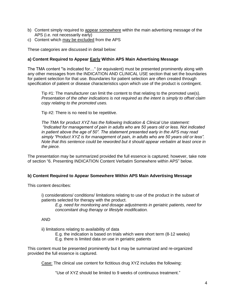- b) Content simply required to appear somewhere within the main advertising message of the APS (i.e. not necessarily early)
- c) Content which may be excluded from the APS

These categories are discussed in detail below:

#### <span id="page-3-0"></span>**a) Content Required to Appear Early Within APS Main Advertising Message**

The TMA content "is indicated for…" (or equivalent) must be presented prominently along with any other messages from the INDICATION AND CLINICAL USE section that set the boundaries for patient selection for that use. Boundaries for patient selection are often created through specification of patient or disease characteristics upon which use of the product is contingent.

Tip #1: The manufacturer can limit the content to that relating to the promoted use(s). *Presentation of the other indications is not required as the intent is simply to offset claim copy relating to the promoted uses.* 

Tip #2: There is no need to be repetitive.

*The TMA for product XYZ has the following Indication & Clinical Use statement: "Indicated for management of pain in adults who are 50 years old or less. Not indicated in patient above the age of 50". The statement presented early in the APS may read simply "Product XYZ is for management of pain, in adults who are 50 years old or less". Note that this sentence could be reworded but it should appear verbatim at least once in the piece.* 

The presentation may be summarized provided the full essence is captured; however, take note of section "6. Presenting INDICATION Content Verbatim Somewhere within APS" below.

#### <span id="page-3-1"></span>**b) Content Required to Appear Somewhere Within APS Main Advertising Message**

This content describes:

i) considerations/ conditions/ limitations relating to use of the product in the subset of patients selected for therapy with the product.

*E.g. need for monitoring and dosage adjustments in geriatric patients, need for concomitant drug therapy or lifestyle modification.* 

AND

ii) limitations relating to availability of data

E.g. the indication is based on trials which were short term (8-12 weeks)

E.g. there is limited data on use in geriatric patients

This content must be presented prominently but it may be summarized and re-organized provided the full essence is captured.

Case: The clinical use content for fictitious drug XYZ includes the following:

"Use of XYZ should be limited to 9 weeks of continuous treatment."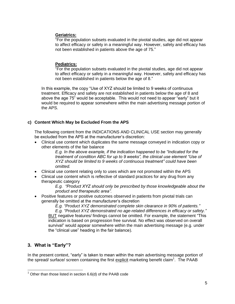#### **Geriatrics:**

"For the population subsets evaluated in the pivotal studies, age did not appear to affect efficacy or safety in a meaningful way. However, safety and efficacy has not been established in patients above the age of 75."

#### **Pediatrics:**

"For the population subsets evaluated in the pivotal studies, age did not appear to affect efficacy or safety in a meaningful way. However, safety and efficacy has not been established in patients below the age of 8."

In this example, the copy "Use of XYZ should be limited to 9 weeks of continuous treatment. Efficacy and safety are not established in patients below the age of 8 and above the age 75" would be acceptable. This would not need to appear "early" but it would be required to appear somewhere within the main advertising message portion of the APS.

#### <span id="page-4-0"></span>**c) Content Which May be Excluded From the APS**

The following content from the INDICATIONS AND CLINICAL USE section may generally be excluded from the APS at the manufacturer's discretion:

 Clinical use content which duplicates the same message conveyed in indication copy or other elements of the fair balance

*E.g. In the above example, if the indication happened to be "Indicated for the treatment of condition ABC for up to 9 weeks", the clinical use element "Use of XYZ should be limited to 9 weeks of continuous treatment" could have been omitted.* 

- Clinical use content relating only to uses which are not promoted within the APS
- Clinical use content which is reflective of standard practices for any drug from any therapeutic category

*E.g. "Product XYZ should only be prescribed by those knowledgeable about the product and therapeutic area".*

 Positive features or positive outcomes observed in patients from pivotal trials can generally be omitted at the manufacturer's discretion

*E.g. "Product XYZ demonstrated complete skin clearance in 90% of patients."*

*E.g. "Product XYZ demonstrated no age-related differences in efficacy or safety."* BUT negative features/ findings cannot be omitted. For example, the statement "This indication is based on progression free survival. No effect was observed on overall survival" would appear somewhere within the main advertising message (e.g. under the "clinical use" heading in the fair balance).

# <span id="page-4-1"></span>**3. What is "Early"?**

In the present context, "early" is taken to mean within the main advertising message portion of the spread/ surface/ screen containing the first explicit marketing benefit claim<sup>1</sup>. The PAAB

  $1$  Other than those listed in section 6.6(d) of the PAAB code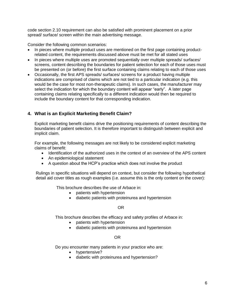code section 2.10 requirement can also be satisfied with prominent placement on a prior spread/ surface/ screen within the main advertising message.

Consider the following common scenarios:

- In pieces where multiple product uses are mentioned on the first page containing productrelated content, the requirements discussed above must be met for all stated uses
- In pieces where multiple uses are promoted sequentially over multiple spreads/ surfaces/ screens, content describing the boundaries for patient selection for each of those uses must be presented on (or before) the first surface containing claims relating to each of those uses
- Occasionally, the first APS spreads/ surfaces/ screens for a product having multiple indications are comprised of claims which are not tied to a particular indication (e.g. this would be the case for most non-therapeutic claims). In such cases, the manufacturer may select the indication for which the boundary content will appear "early". A later page containing claims relating specifically to a different indication would then be required to include the boundary content for that corresponding indication.

### <span id="page-5-0"></span>**4. What is an Explicit Marketing Benefit Claim?**

Explicit marketing benefit claims drive the positioning requirements of content describing the boundaries of patient selection. It is therefore important to distinguish between explicit and implicit claim.

For example, the following messages are not likely to be considered explicit marketing claims of benefit:

- Identification of the authorized uses in the context of an overview of the APS content
- An epidemiological statement
- A question about the HCP's practice which does not involve the product

Rulings in specific situations will depend on context, but consider the following hypothetical detail aid cover titles as rough examples (i.e. assume this is the only content on the cover):

This brochure describes the use of Arbace in:

- patients with hypertension
- diabetic patients with proteinurea and hypertension

OR

This brochure describes the efficacy and safety profiles of Arbace in:

- patients with hypertension
- diabetic patients with proteinurea and hypertension

#### OR

Do you encounter many patients in your practice who are:

- hypertensive?
- diabetic with proteinurea and hypertension?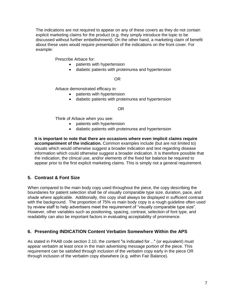The indications are not required to appear on any of these covers as they do not contain explicit marketing claims for the product (e.g. they simply introduce the topic to be discussed without further embellishment). On the other hand, a marketing claim of benefit about these uses would require presentation of the indications on the front cover. For example:

Prescribe Arbace for:

- patients with hypertension
- diabetic patients with proteinurea and hypertension

#### OR

Arbace demonstrated efficacy in:

- patients with hypertension
- diabetic patients with proteinurea and hypertension

#### OR

Think of Arbace when you see:

- patients with hypertension
- diabetic patients with proteinurea and hypertension

**It is important to note that there are occasions where even implicit claims require accompaniment of the indication.** Common examples include (but are not limited to) visuals which would otherwise suggest a broader indication and text regarding disease information which could otherwise suggest a broader indication. It is therefore possible that the indication, the clinical use, and/or elements of the fixed fair balance be required to appear prior to the first explicit marketing claims. This is simply not a general requirement.

# <span id="page-6-0"></span>**5. Contrast & Font Size**

When compared to the main body copy used throughout the piece, the copy describing the boundaries for patient selection shall be of visually comparable type size, duration, pace, and shade where applicable. Additionally, this copy shall always be displayed in sufficient contrast with the background. The proportion of 75% vs main body copy is a rough guideline often used by review staff to help advertisers meet the requirement of "visually comparable type size". However, other variables such as positioning, spacing, contrast, selection of font type, and readability can also be important factors in evaluating acceptability of prominence.

#### <span id="page-6-1"></span>**6. Presenting INDICATION Content Verbatim Somewhere Within the APS**

As stated in PAAB code section 2.10, the content "is indicated for…" (or equivalent) must appear verbatim at least once in the main advertising message portion of the piece. This requirement can be satisfied through inclusion of the verbatim copy early in the piece OR through inclusion of the verbatim copy elsewhere (e.g. within Fair Balance).